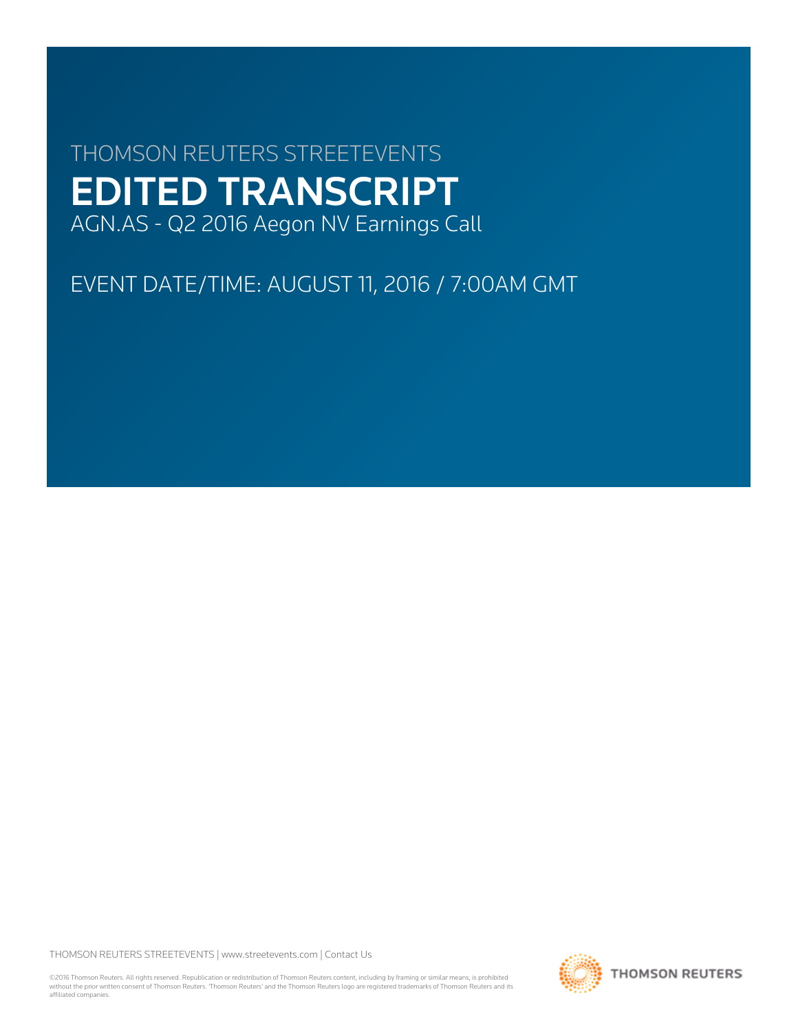# THOMSON REUTERS STREETEVENTS EDITED TRANSCRIPT AGN.AS - Q2 2016 Aegon NV Earnings Call

EVENT DATE/TIME: AUGUST 11, 2016 / 7:00AM GMT

THOMSON REUTERS STREETEVENTS | [www.streetevents.com](http://www.streetevents.com) | [Contact Us](http://www010.streetevents.com/contact.asp)

©2016 Thomson Reuters. All rights reserved. Republication or redistribution of Thomson Reuters content, including by framing or similar means, is prohibited without the prior written consent of Thomson Reuters. 'Thomson Reuters' and the Thomson Reuters logo are registered trademarks of Thomson Reuters and its affiliated companies.

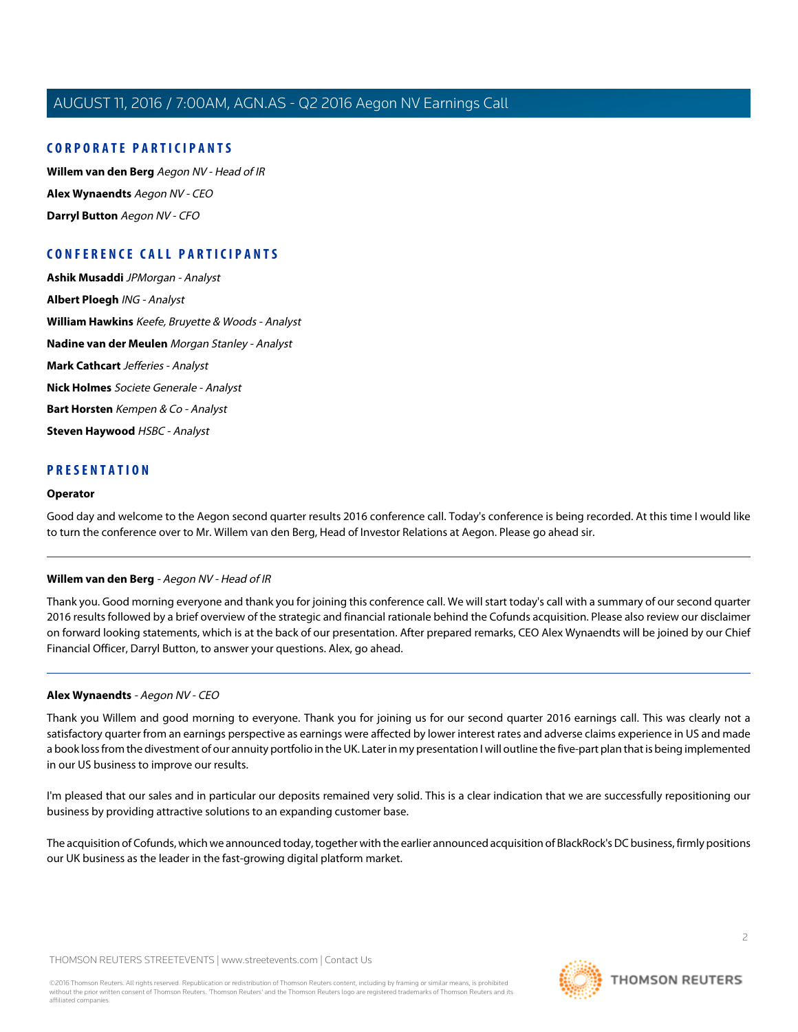# **CORPORATE PARTICIPANTS**

**[Willem van den Berg](#page-1-0)** Aegon NV - Head of IR **[Alex Wynaendts](#page-1-1)** Aegon NV - CEO **[Darryl Button](#page-6-0)** Aegon NV - CFO

# **CONFERENCE CALL PARTICIPANTS**

**[Ashik Musaddi](#page-6-1)** JPMorgan - Analyst **[Albert Ploegh](#page-8-0)** ING - Analyst **[William Hawkins](#page-9-0)** Keefe, Bruyette & Woods - Analyst **[Nadine van der Meulen](#page-11-0)** Morgan Stanley - Analyst **[Mark Cathcart](#page-12-0)** Jefferies - Analyst **[Nick Holmes](#page-15-0)** Societe Generale - Analyst **[Bart Horsten](#page-16-0)** Kempen & Co - Analyst **[Steven Haywood](#page-19-0)** HSBC - Analyst

# **PRESENTATION**

#### **Operator**

<span id="page-1-0"></span>Good day and welcome to the Aegon second quarter results 2016 conference call. Today's conference is being recorded. At this time I would like to turn the conference over to Mr. Willem van den Berg, Head of Investor Relations at Aegon. Please go ahead sir.

#### **Willem van den Berg** - Aegon NV - Head of IR

<span id="page-1-1"></span>Thank you. Good morning everyone and thank you for joining this conference call. We will start today's call with a summary of our second quarter 2016 results followed by a brief overview of the strategic and financial rationale behind the Cofunds acquisition. Please also review our disclaimer on forward looking statements, which is at the back of our presentation. After prepared remarks, CEO Alex Wynaendts will be joined by our Chief Financial Officer, Darryl Button, to answer your questions. Alex, go ahead.

#### **Alex Wynaendts** - Aegon NV - CEO

Thank you Willem and good morning to everyone. Thank you for joining us for our second quarter 2016 earnings call. This was clearly not a satisfactory quarter from an earnings perspective as earnings were affected by lower interest rates and adverse claims experience in US and made a book loss from the divestment of our annuity portfolio in the UK. Later in my presentation I will outline the five-part plan that is being implemented in our US business to improve our results.

I'm pleased that our sales and in particular our deposits remained very solid. This is a clear indication that we are successfully repositioning our business by providing attractive solutions to an expanding customer base.

The acquisition of Cofunds, which we announced today, together with the earlier announced acquisition of BlackRock's DC business, firmly positions our UK business as the leader in the fast-growing digital platform market.

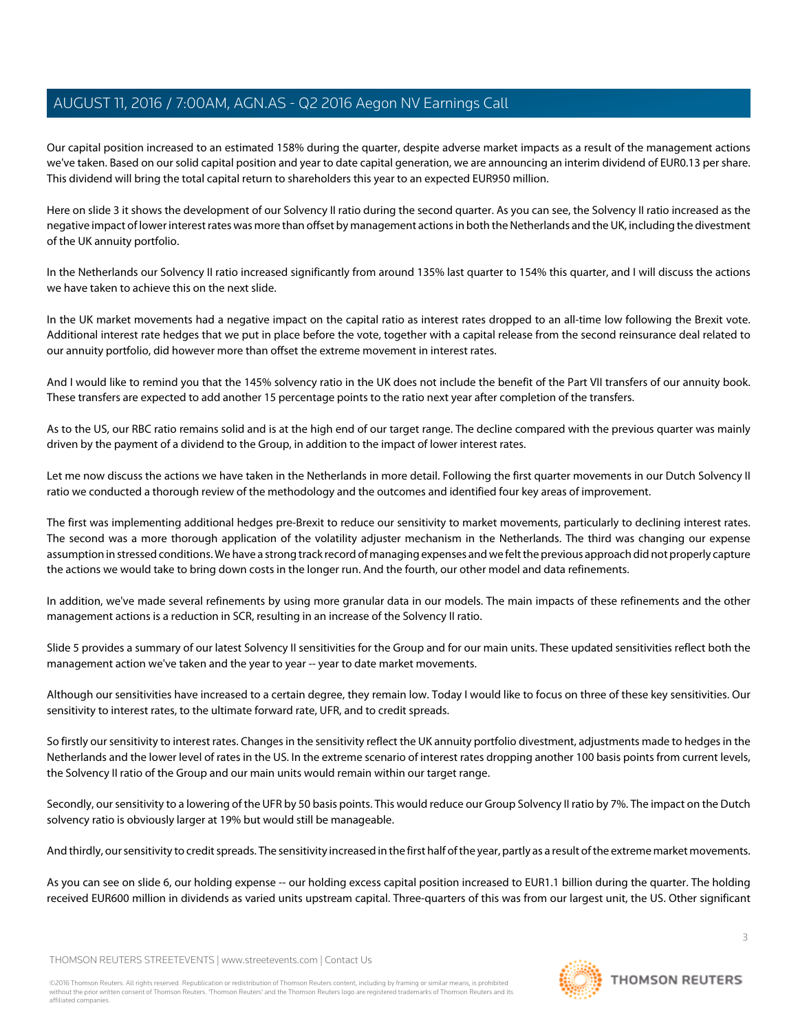Our capital position increased to an estimated 158% during the quarter, despite adverse market impacts as a result of the management actions we've taken. Based on our solid capital position and year to date capital generation, we are announcing an interim dividend of EUR0.13 per share. This dividend will bring the total capital return to shareholders this year to an expected EUR950 million.

Here on slide 3 it shows the development of our Solvency II ratio during the second quarter. As you can see, the Solvency II ratio increased as the negative impact of lower interest rates was more than offset by management actions in both the Netherlands and the UK, including the divestment of the UK annuity portfolio.

In the Netherlands our Solvency II ratio increased significantly from around 135% last quarter to 154% this quarter, and I will discuss the actions we have taken to achieve this on the next slide.

In the UK market movements had a negative impact on the capital ratio as interest rates dropped to an all-time low following the Brexit vote. Additional interest rate hedges that we put in place before the vote, together with a capital release from the second reinsurance deal related to our annuity portfolio, did however more than offset the extreme movement in interest rates.

And I would like to remind you that the 145% solvency ratio in the UK does not include the benefit of the Part VII transfers of our annuity book. These transfers are expected to add another 15 percentage points to the ratio next year after completion of the transfers.

As to the US, our RBC ratio remains solid and is at the high end of our target range. The decline compared with the previous quarter was mainly driven by the payment of a dividend to the Group, in addition to the impact of lower interest rates.

Let me now discuss the actions we have taken in the Netherlands in more detail. Following the first quarter movements in our Dutch Solvency II ratio we conducted a thorough review of the methodology and the outcomes and identified four key areas of improvement.

The first was implementing additional hedges pre-Brexit to reduce our sensitivity to market movements, particularly to declining interest rates. The second was a more thorough application of the volatility adjuster mechanism in the Netherlands. The third was changing our expense assumption in stressed conditions. We have a strong track record of managing expenses and we felt the previous approach did not properly capture the actions we would take to bring down costs in the longer run. And the fourth, our other model and data refinements.

In addition, we've made several refinements by using more granular data in our models. The main impacts of these refinements and the other management actions is a reduction in SCR, resulting in an increase of the Solvency II ratio.

Slide 5 provides a summary of our latest Solvency II sensitivities for the Group and for our main units. These updated sensitivities reflect both the management action we've taken and the year to year -- year to date market movements.

Although our sensitivities have increased to a certain degree, they remain low. Today I would like to focus on three of these key sensitivities. Our sensitivity to interest rates, to the ultimate forward rate, UFR, and to credit spreads.

So firstly our sensitivity to interest rates. Changes in the sensitivity reflect the UK annuity portfolio divestment, adjustments made to hedges in the Netherlands and the lower level of rates in the US. In the extreme scenario of interest rates dropping another 100 basis points from current levels, the Solvency II ratio of the Group and our main units would remain within our target range.

Secondly, our sensitivity to a lowering of the UFR by 50 basis points. This would reduce our Group Solvency II ratio by 7%. The impact on the Dutch solvency ratio is obviously larger at 19% but would still be manageable.

And thirdly, our sensitivity to credit spreads. The sensitivity increased in the first half of the year, partly as a result of the extreme market movements.

As you can see on slide 6, our holding expense -- our holding excess capital position increased to EUR1.1 billion during the quarter. The holding received EUR600 million in dividends as varied units upstream capital. Three-quarters of this was from our largest unit, the US. Other significant

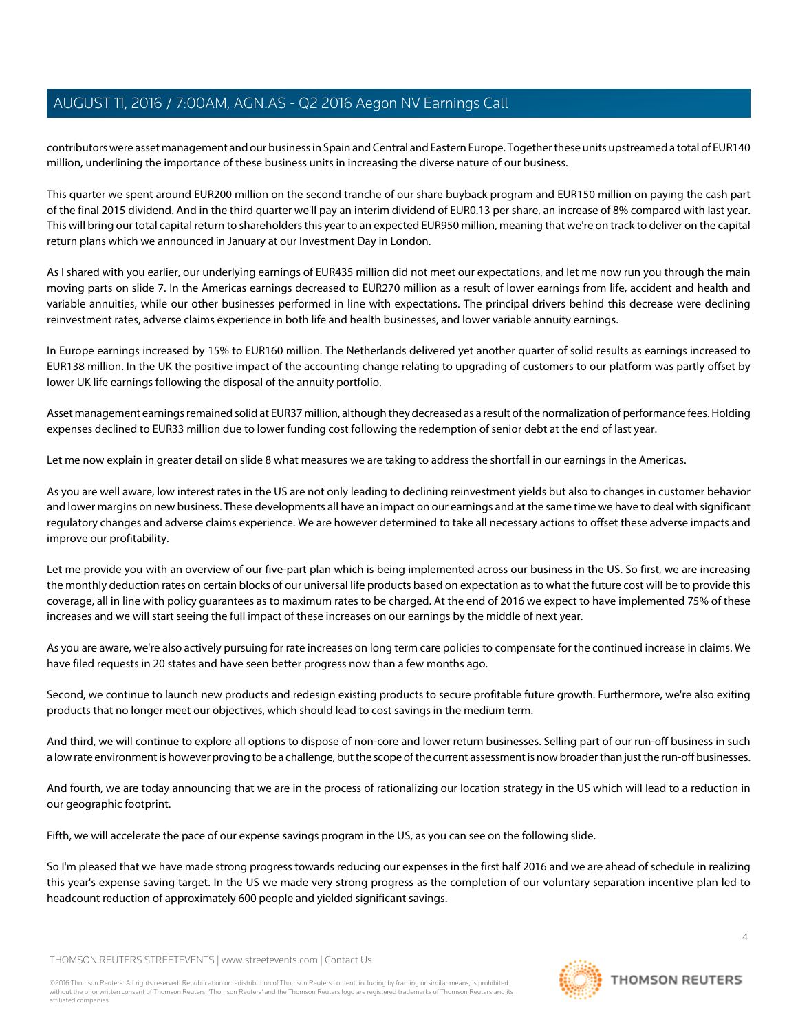contributors were asset management and our business in Spain and Central and Eastern Europe. Together these units upstreamed a total of EUR140 million, underlining the importance of these business units in increasing the diverse nature of our business.

This quarter we spent around EUR200 million on the second tranche of our share buyback program and EUR150 million on paying the cash part of the final 2015 dividend. And in the third quarter we'll pay an interim dividend of EUR0.13 per share, an increase of 8% compared with last year. This will bring our total capital return to shareholders this year to an expected EUR950 million, meaning that we're on track to deliver on the capital return plans which we announced in January at our Investment Day in London.

As I shared with you earlier, our underlying earnings of EUR435 million did not meet our expectations, and let me now run you through the main moving parts on slide 7. In the Americas earnings decreased to EUR270 million as a result of lower earnings from life, accident and health and variable annuities, while our other businesses performed in line with expectations. The principal drivers behind this decrease were declining reinvestment rates, adverse claims experience in both life and health businesses, and lower variable annuity earnings.

In Europe earnings increased by 15% to EUR160 million. The Netherlands delivered yet another quarter of solid results as earnings increased to EUR138 million. In the UK the positive impact of the accounting change relating to upgrading of customers to our platform was partly offset by lower UK life earnings following the disposal of the annuity portfolio.

Asset management earnings remained solid at EUR37 million, although they decreased as a result of the normalization of performance fees. Holding expenses declined to EUR33 million due to lower funding cost following the redemption of senior debt at the end of last year.

Let me now explain in greater detail on slide 8 what measures we are taking to address the shortfall in our earnings in the Americas.

As you are well aware, low interest rates in the US are not only leading to declining reinvestment yields but also to changes in customer behavior and lower margins on new business. These developments all have an impact on our earnings and at the same time we have to deal with significant regulatory changes and adverse claims experience. We are however determined to take all necessary actions to offset these adverse impacts and improve our profitability.

Let me provide you with an overview of our five-part plan which is being implemented across our business in the US. So first, we are increasing the monthly deduction rates on certain blocks of our universal life products based on expectation as to what the future cost will be to provide this coverage, all in line with policy guarantees as to maximum rates to be charged. At the end of 2016 we expect to have implemented 75% of these increases and we will start seeing the full impact of these increases on our earnings by the middle of next year.

As you are aware, we're also actively pursuing for rate increases on long term care policies to compensate for the continued increase in claims. We have filed requests in 20 states and have seen better progress now than a few months ago.

Second, we continue to launch new products and redesign existing products to secure profitable future growth. Furthermore, we're also exiting products that no longer meet our objectives, which should lead to cost savings in the medium term.

And third, we will continue to explore all options to dispose of non-core and lower return businesses. Selling part of our run-off business in such a low rate environment is however proving to be a challenge, but the scope of the current assessment is now broader than just the run-off businesses.

And fourth, we are today announcing that we are in the process of rationalizing our location strategy in the US which will lead to a reduction in our geographic footprint.

Fifth, we will accelerate the pace of our expense savings program in the US, as you can see on the following slide.

So I'm pleased that we have made strong progress towards reducing our expenses in the first half 2016 and we are ahead of schedule in realizing this year's expense saving target. In the US we made very strong progress as the completion of our voluntary separation incentive plan led to headcount reduction of approximately 600 people and yielded significant savings.

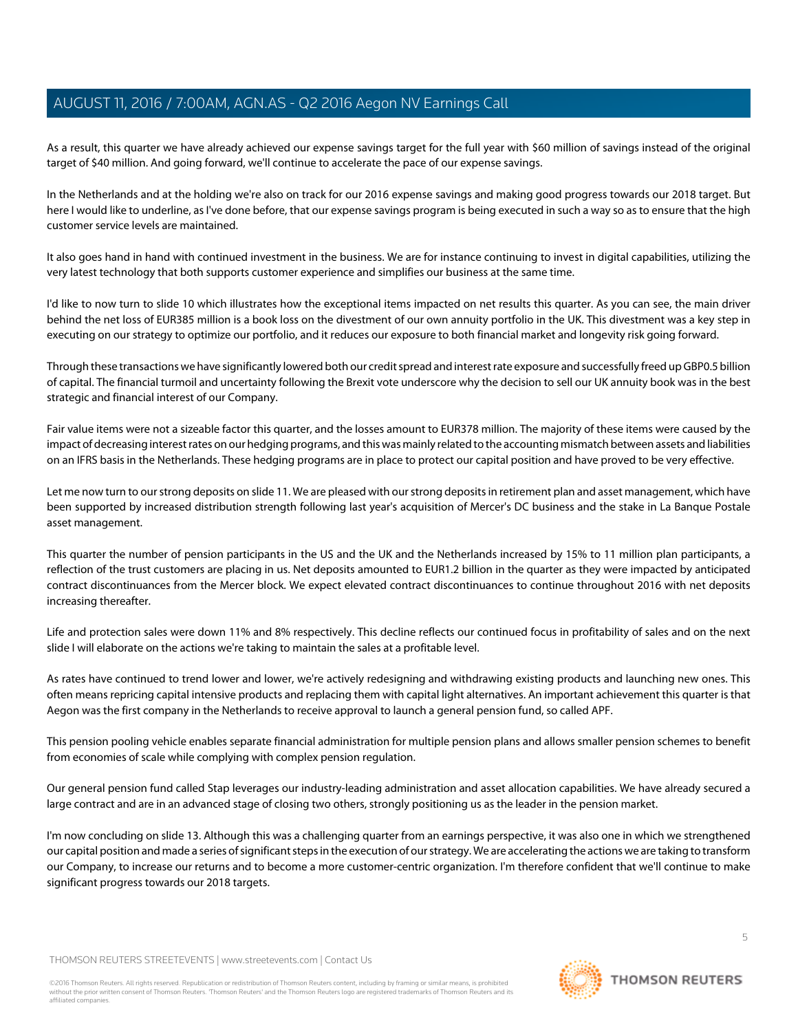As a result, this quarter we have already achieved our expense savings target for the full year with \$60 million of savings instead of the original target of \$40 million. And going forward, we'll continue to accelerate the pace of our expense savings.

In the Netherlands and at the holding we're also on track for our 2016 expense savings and making good progress towards our 2018 target. But here I would like to underline, as I've done before, that our expense savings program is being executed in such a way so as to ensure that the high customer service levels are maintained.

It also goes hand in hand with continued investment in the business. We are for instance continuing to invest in digital capabilities, utilizing the very latest technology that both supports customer experience and simplifies our business at the same time.

I'd like to now turn to slide 10 which illustrates how the exceptional items impacted on net results this quarter. As you can see, the main driver behind the net loss of EUR385 million is a book loss on the divestment of our own annuity portfolio in the UK. This divestment was a key step in executing on our strategy to optimize our portfolio, and it reduces our exposure to both financial market and longevity risk going forward.

Through these transactions we have significantly lowered both our credit spread and interest rate exposure and successfully freed up GBP0.5 billion of capital. The financial turmoil and uncertainty following the Brexit vote underscore why the decision to sell our UK annuity book was in the best strategic and financial interest of our Company.

Fair value items were not a sizeable factor this quarter, and the losses amount to EUR378 million. The majority of these items were caused by the impact of decreasing interest rates on our hedging programs, and this was mainly related to the accounting mismatch between assets and liabilities on an IFRS basis in the Netherlands. These hedging programs are in place to protect our capital position and have proved to be very effective.

Let me now turn to our strong deposits on slide 11. We are pleased with our strong deposits in retirement plan and asset management, which have been supported by increased distribution strength following last year's acquisition of Mercer's DC business and the stake in La Banque Postale asset management.

This quarter the number of pension participants in the US and the UK and the Netherlands increased by 15% to 11 million plan participants, a reflection of the trust customers are placing in us. Net deposits amounted to EUR1.2 billion in the quarter as they were impacted by anticipated contract discontinuances from the Mercer block. We expect elevated contract discontinuances to continue throughout 2016 with net deposits increasing thereafter.

Life and protection sales were down 11% and 8% respectively. This decline reflects our continued focus in profitability of sales and on the next slide I will elaborate on the actions we're taking to maintain the sales at a profitable level.

As rates have continued to trend lower and lower, we're actively redesigning and withdrawing existing products and launching new ones. This often means repricing capital intensive products and replacing them with capital light alternatives. An important achievement this quarter is that Aegon was the first company in the Netherlands to receive approval to launch a general pension fund, so called APF.

This pension pooling vehicle enables separate financial administration for multiple pension plans and allows smaller pension schemes to benefit from economies of scale while complying with complex pension regulation.

Our general pension fund called Stap leverages our industry-leading administration and asset allocation capabilities. We have already secured a large contract and are in an advanced stage of closing two others, strongly positioning us as the leader in the pension market.

I'm now concluding on slide 13. Although this was a challenging quarter from an earnings perspective, it was also one in which we strengthened our capital position and made a series of significant steps in the execution of our strategy. We are accelerating the actions we are taking to transform our Company, to increase our returns and to become a more customer-centric organization. I'm therefore confident that we'll continue to make significant progress towards our 2018 targets.

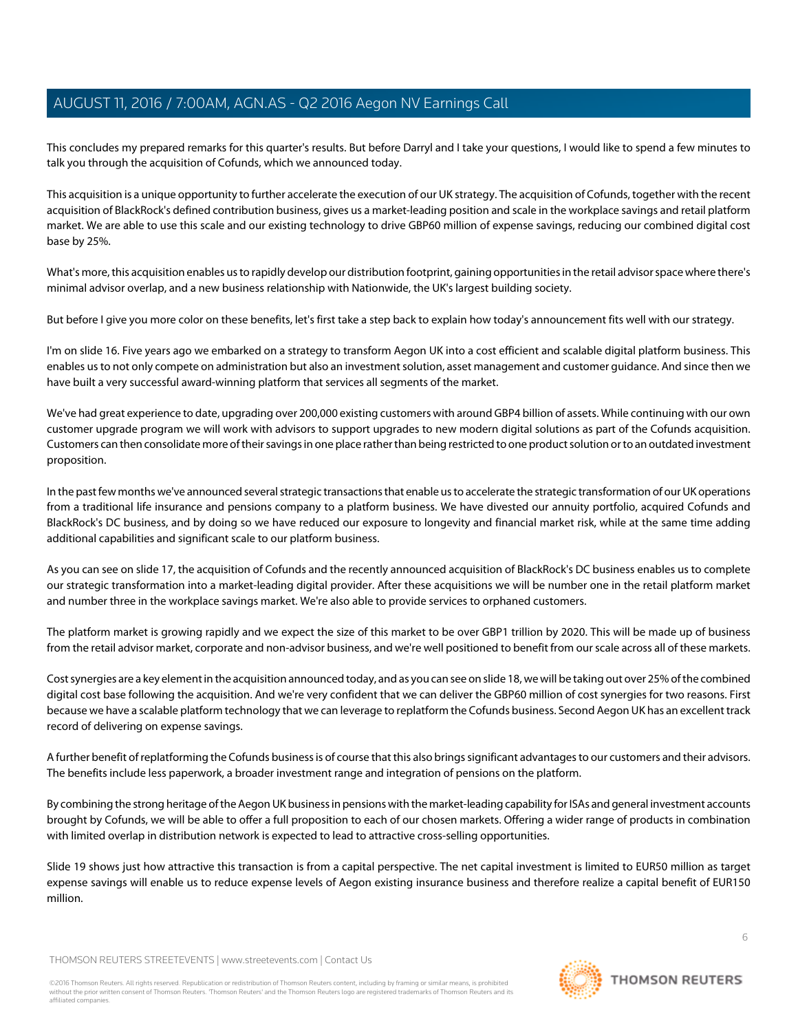This concludes my prepared remarks for this quarter's results. But before Darryl and I take your questions, I would like to spend a few minutes to talk you through the acquisition of Cofunds, which we announced today.

This acquisition is a unique opportunity to further accelerate the execution of our UK strategy. The acquisition of Cofunds, together with the recent acquisition of BlackRock's defined contribution business, gives us a market-leading position and scale in the workplace savings and retail platform market. We are able to use this scale and our existing technology to drive GBP60 million of expense savings, reducing our combined digital cost base by 25%.

What's more, this acquisition enables us to rapidly develop our distribution footprint, gaining opportunities in the retail advisor space where there's minimal advisor overlap, and a new business relationship with Nationwide, the UK's largest building society.

But before I give you more color on these benefits, let's first take a step back to explain how today's announcement fits well with our strategy.

I'm on slide 16. Five years ago we embarked on a strategy to transform Aegon UK into a cost efficient and scalable digital platform business. This enables us to not only compete on administration but also an investment solution, asset management and customer guidance. And since then we have built a very successful award-winning platform that services all segments of the market.

We've had great experience to date, upgrading over 200,000 existing customers with around GBP4 billion of assets. While continuing with our own customer upgrade program we will work with advisors to support upgrades to new modern digital solutions as part of the Cofunds acquisition. Customers can then consolidate more of their savings in one place rather than being restricted to one product solution or to an outdated investment proposition.

In the past few months we've announced several strategic transactions that enable us to accelerate the strategic transformation of our UK operations from a traditional life insurance and pensions company to a platform business. We have divested our annuity portfolio, acquired Cofunds and BlackRock's DC business, and by doing so we have reduced our exposure to longevity and financial market risk, while at the same time adding additional capabilities and significant scale to our platform business.

As you can see on slide 17, the acquisition of Cofunds and the recently announced acquisition of BlackRock's DC business enables us to complete our strategic transformation into a market-leading digital provider. After these acquisitions we will be number one in the retail platform market and number three in the workplace savings market. We're also able to provide services to orphaned customers.

The platform market is growing rapidly and we expect the size of this market to be over GBP1 trillion by 2020. This will be made up of business from the retail advisor market, corporate and non-advisor business, and we're well positioned to benefit from our scale across all of these markets.

Cost synergies are a key element in the acquisition announced today, and as you can see on slide 18, we will be taking out over 25% of the combined digital cost base following the acquisition. And we're very confident that we can deliver the GBP60 million of cost synergies for two reasons. First because we have a scalable platform technology that we can leverage to replatform the Cofunds business. Second Aegon UK has an excellent track record of delivering on expense savings.

A further benefit of replatforming the Cofunds business is of course that this also brings significant advantages to our customers and their advisors. The benefits include less paperwork, a broader investment range and integration of pensions on the platform.

By combining the strong heritage of the Aegon UK business in pensions with the market-leading capability for ISAs and general investment accounts brought by Cofunds, we will be able to offer a full proposition to each of our chosen markets. Offering a wider range of products in combination with limited overlap in distribution network is expected to lead to attractive cross-selling opportunities.

Slide 19 shows just how attractive this transaction is from a capital perspective. The net capital investment is limited to EUR50 million as target expense savings will enable us to reduce expense levels of Aegon existing insurance business and therefore realize a capital benefit of EUR150 million.

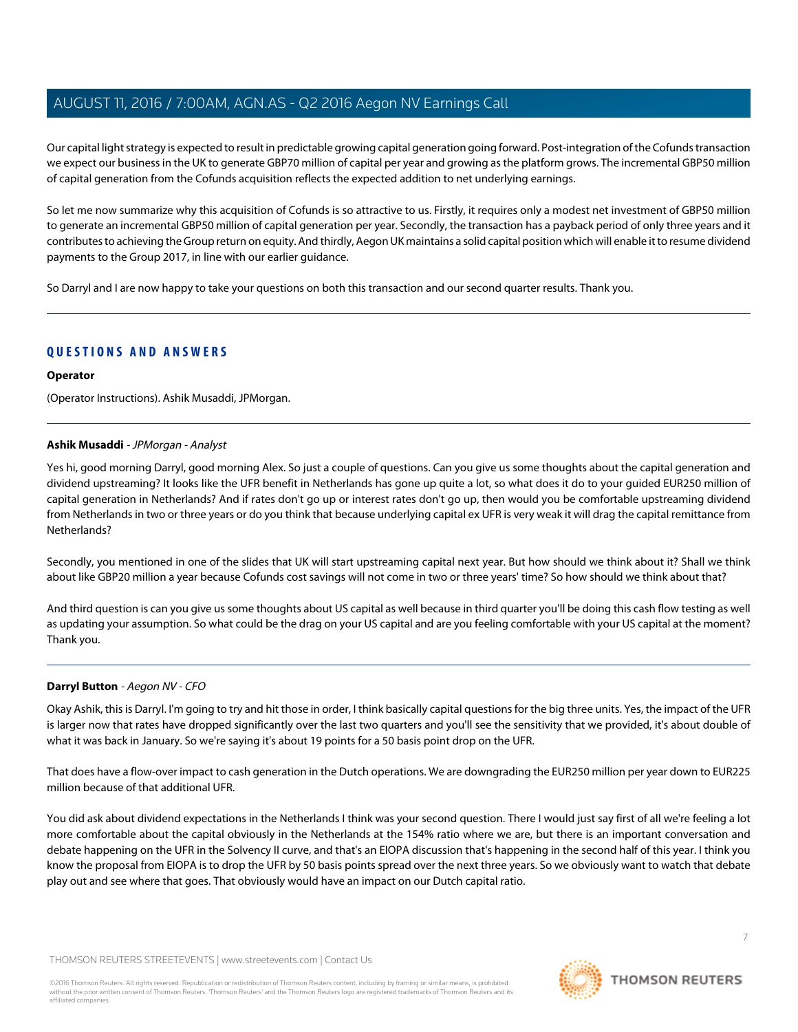Our capital light strategy is expected to result in predictable growing capital generation going forward. Post-integration of the Cofunds transaction we expect our business in the UK to generate GBP70 million of capital per year and growing as the platform grows. The incremental GBP50 million of capital generation from the Cofunds acquisition reflects the expected addition to net underlying earnings.

So let me now summarize why this acquisition of Cofunds is so attractive to us. Firstly, it requires only a modest net investment of GBP50 million to generate an incremental GBP50 million of capital generation per year. Secondly, the transaction has a payback period of only three years and it contributes to achieving the Group return on equity. And thirdly, Aegon UK maintains a solid capital position which will enable it to resume dividend payments to the Group 2017, in line with our earlier guidance.

So Darryl and I are now happy to take your questions on both this transaction and our second quarter results. Thank you.

# **QUESTIONS AND ANSWERS**

#### **Operator**

<span id="page-6-1"></span>(Operator Instructions). Ashik Musaddi, JPMorgan.

## **Ashik Musaddi** - JPMorgan - Analyst

Yes hi, good morning Darryl, good morning Alex. So just a couple of questions. Can you give us some thoughts about the capital generation and dividend upstreaming? It looks like the UFR benefit in Netherlands has gone up quite a lot, so what does it do to your guided EUR250 million of capital generation in Netherlands? And if rates don't go up or interest rates don't go up, then would you be comfortable upstreaming dividend from Netherlands in two or three years or do you think that because underlying capital ex UFR is very weak it will drag the capital remittance from Netherlands?

Secondly, you mentioned in one of the slides that UK will start upstreaming capital next year. But how should we think about it? Shall we think about like GBP20 million a year because Cofunds cost savings will not come in two or three years' time? So how should we think about that?

<span id="page-6-0"></span>And third question is can you give us some thoughts about US capital as well because in third quarter you'll be doing this cash flow testing as well as updating your assumption. So what could be the drag on your US capital and are you feeling comfortable with your US capital at the moment? Thank you.

# **Darryl Button** - Aegon NV - CFO

Okay Ashik, this is Darryl. I'm going to try and hit those in order, I think basically capital questions for the big three units. Yes, the impact of the UFR is larger now that rates have dropped significantly over the last two quarters and you'll see the sensitivity that we provided, it's about double of what it was back in January. So we're saying it's about 19 points for a 50 basis point drop on the UFR.

That does have a flow-over impact to cash generation in the Dutch operations. We are downgrading the EUR250 million per year down to EUR225 million because of that additional UFR.

You did ask about dividend expectations in the Netherlands I think was your second question. There I would just say first of all we're feeling a lot more comfortable about the capital obviously in the Netherlands at the 154% ratio where we are, but there is an important conversation and debate happening on the UFR in the Solvency II curve, and that's an EIOPA discussion that's happening in the second half of this year. I think you know the proposal from EIOPA is to drop the UFR by 50 basis points spread over the next three years. So we obviously want to watch that debate play out and see where that goes. That obviously would have an impact on our Dutch capital ratio.

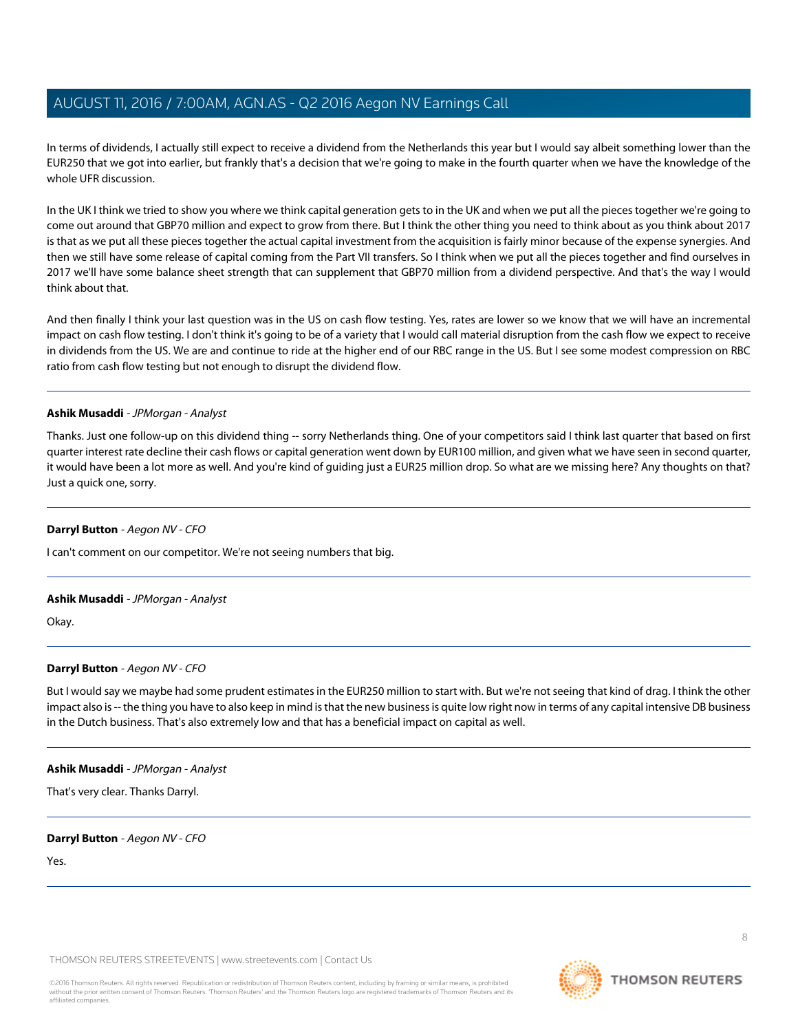In terms of dividends, I actually still expect to receive a dividend from the Netherlands this year but I would say albeit something lower than the EUR250 that we got into earlier, but frankly that's a decision that we're going to make in the fourth quarter when we have the knowledge of the whole UFR discussion.

In the UK I think we tried to show you where we think capital generation gets to in the UK and when we put all the pieces together we're going to come out around that GBP70 million and expect to grow from there. But I think the other thing you need to think about as you think about 2017 is that as we put all these pieces together the actual capital investment from the acquisition is fairly minor because of the expense synergies. And then we still have some release of capital coming from the Part VII transfers. So I think when we put all the pieces together and find ourselves in 2017 we'll have some balance sheet strength that can supplement that GBP70 million from a dividend perspective. And that's the way I would think about that.

And then finally I think your last question was in the US on cash flow testing. Yes, rates are lower so we know that we will have an incremental impact on cash flow testing. I don't think it's going to be of a variety that I would call material disruption from the cash flow we expect to receive in dividends from the US. We are and continue to ride at the higher end of our RBC range in the US. But I see some modest compression on RBC ratio from cash flow testing but not enough to disrupt the dividend flow.

## **Ashik Musaddi** - JPMorgan - Analyst

Thanks. Just one follow-up on this dividend thing -- sorry Netherlands thing. One of your competitors said I think last quarter that based on first quarter interest rate decline their cash flows or capital generation went down by EUR100 million, and given what we have seen in second quarter, it would have been a lot more as well. And you're kind of guiding just a EUR25 million drop. So what are we missing here? Any thoughts on that? Just a quick one, sorry.

# **Darryl Button** - Aegon NV - CFO

I can't comment on our competitor. We're not seeing numbers that big.

# **Ashik Musaddi** - JPMorgan - Analyst

Okay.

# **Darryl Button** - Aegon NV - CFO

But I would say we maybe had some prudent estimates in the EUR250 million to start with. But we're not seeing that kind of drag. I think the other impact also is -- the thing you have to also keep in mind is that the new business is quite low right now in terms of any capital intensive DB business in the Dutch business. That's also extremely low and that has a beneficial impact on capital as well.

#### **Ashik Musaddi** - JPMorgan - Analyst

That's very clear. Thanks Darryl.

# **Darryl Button** - Aegon NV - CFO

Yes.

THOMSON REUTERS STREETEVENTS | [www.streetevents.com](http://www.streetevents.com) | [Contact Us](http://www010.streetevents.com/contact.asp)

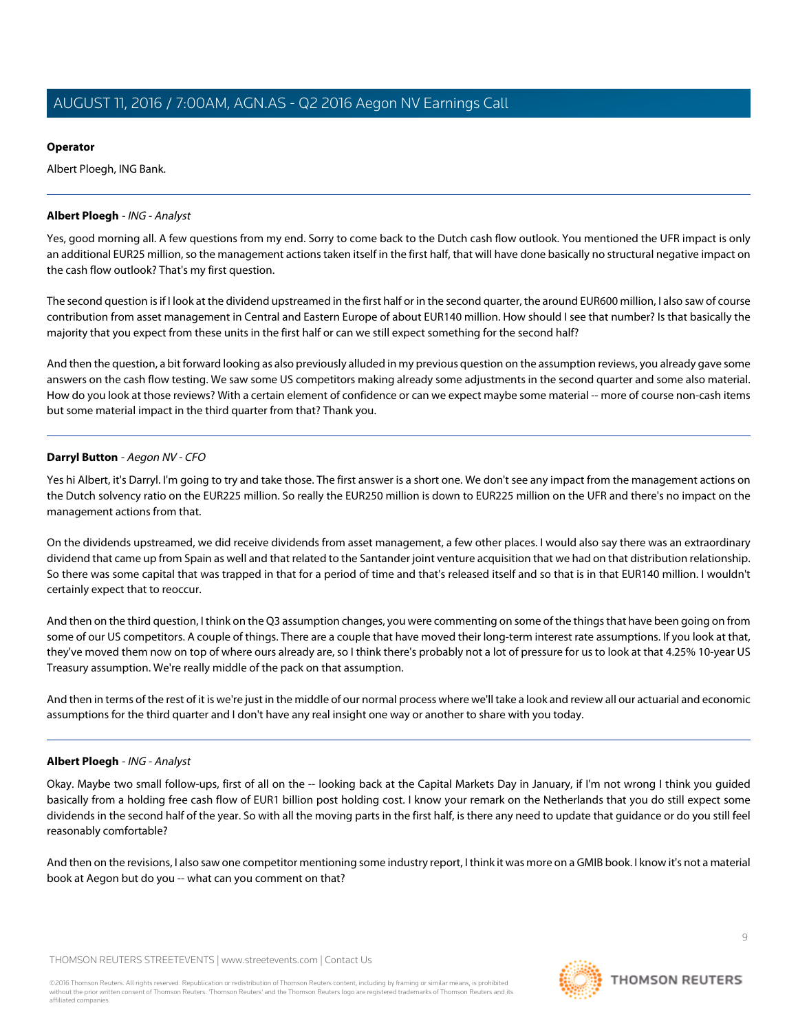# **Operator**

Albert Ploegh, ING Bank.

# <span id="page-8-0"></span>**Albert Ploegh** - ING - Analyst

Yes, good morning all. A few questions from my end. Sorry to come back to the Dutch cash flow outlook. You mentioned the UFR impact is only an additional EUR25 million, so the management actions taken itself in the first half, that will have done basically no structural negative impact on the cash flow outlook? That's my first question.

The second question is if I look at the dividend upstreamed in the first half or in the second quarter, the around EUR600 million, I also saw of course contribution from asset management in Central and Eastern Europe of about EUR140 million. How should I see that number? Is that basically the majority that you expect from these units in the first half or can we still expect something for the second half?

And then the question, a bit forward looking as also previously alluded in my previous question on the assumption reviews, you already gave some answers on the cash flow testing. We saw some US competitors making already some adjustments in the second quarter and some also material. How do you look at those reviews? With a certain element of confidence or can we expect maybe some material -- more of course non-cash items but some material impact in the third quarter from that? Thank you.

# **Darryl Button** - Aegon NV - CFO

Yes hi Albert, it's Darryl. I'm going to try and take those. The first answer is a short one. We don't see any impact from the management actions on the Dutch solvency ratio on the EUR225 million. So really the EUR250 million is down to EUR225 million on the UFR and there's no impact on the management actions from that.

On the dividends upstreamed, we did receive dividends from asset management, a few other places. I would also say there was an extraordinary dividend that came up from Spain as well and that related to the Santander joint venture acquisition that we had on that distribution relationship. So there was some capital that was trapped in that for a period of time and that's released itself and so that is in that EUR140 million. I wouldn't certainly expect that to reoccur.

And then on the third question, I think on the Q3 assumption changes, you were commenting on some of the things that have been going on from some of our US competitors. A couple of things. There are a couple that have moved their long-term interest rate assumptions. If you look at that, they've moved them now on top of where ours already are, so I think there's probably not a lot of pressure for us to look at that 4.25% 10-year US Treasury assumption. We're really middle of the pack on that assumption.

And then in terms of the rest of it is we're just in the middle of our normal process where we'll take a look and review all our actuarial and economic assumptions for the third quarter and I don't have any real insight one way or another to share with you today.

# **Albert Ploegh** - ING - Analyst

Okay. Maybe two small follow-ups, first of all on the -- looking back at the Capital Markets Day in January, if I'm not wrong I think you guided basically from a holding free cash flow of EUR1 billion post holding cost. I know your remark on the Netherlands that you do still expect some dividends in the second half of the year. So with all the moving parts in the first half, is there any need to update that guidance or do you still feel reasonably comfortable?

And then on the revisions, I also saw one competitor mentioning some industry report, I think it was more on a GMIB book. I know it's not a material book at Aegon but do you -- what can you comment on that?

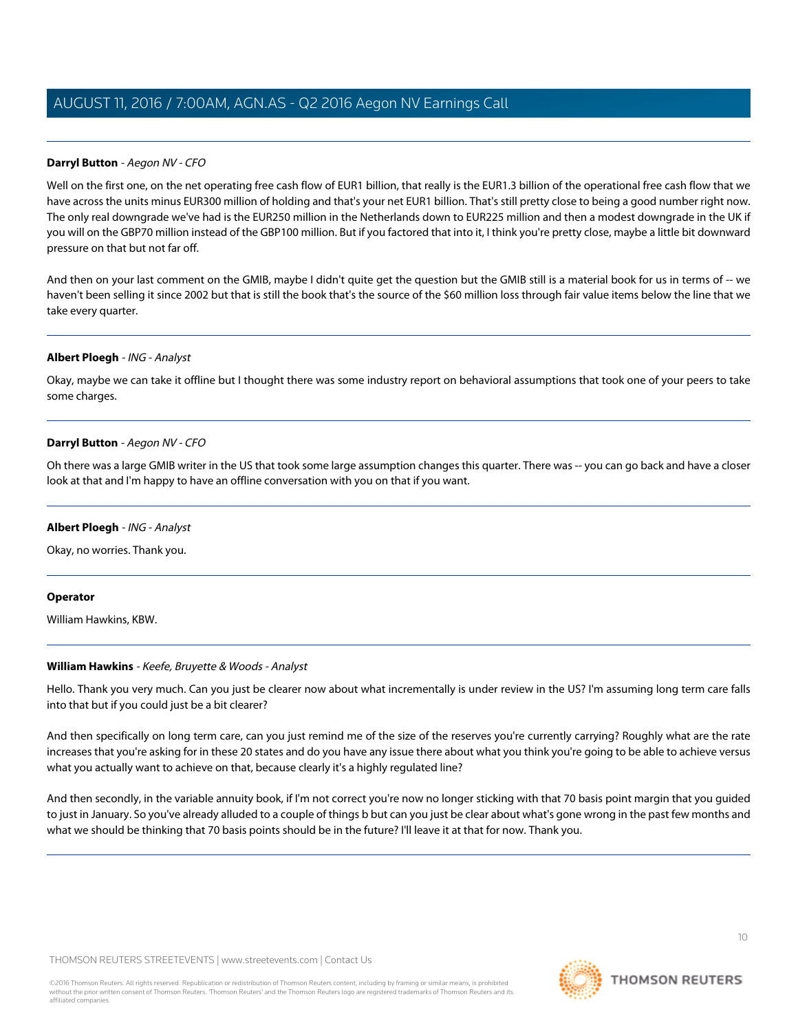# **Darryl Button** - Aegon NV - CFO

Well on the first one, on the net operating free cash flow of EUR1 billion, that really is the EUR1.3 billion of the operational free cash flow that we have across the units minus EUR300 million of holding and that's your net EUR1 billion. That's still pretty close to being a good number right now. The only real downgrade we've had is the EUR250 million in the Netherlands down to EUR225 million and then a modest downgrade in the UK if you will on the GBP70 million instead of the GBP100 million. But if you factored that into it, I think you're pretty close, maybe a little bit downward pressure on that but not far off.

And then on your last comment on the GMIB, maybe I didn't quite get the question but the GMIB still is a material book for us in terms of -- we haven't been selling it since 2002 but that is still the book that's the source of the \$60 million loss through fair value items below the line that we take every quarter.

#### **Albert Ploegh** - ING - Analyst

Okay, maybe we can take it offline but I thought there was some industry report on behavioral assumptions that took one of your peers to take some charges.

## **Darryl Button** - Aegon NV - CFO

Oh there was a large GMIB writer in the US that took some large assumption changes this quarter. There was -- you can go back and have a closer look at that and I'm happy to have an offline conversation with you on that if you want.

#### **Albert Ploegh** - ING - Analyst

Okay, no worries. Thank you.

#### <span id="page-9-0"></span>**Operator**

William Hawkins, KBW.

#### **William Hawkins** - Keefe, Bruyette & Woods - Analyst

Hello. Thank you very much. Can you just be clearer now about what incrementally is under review in the US? I'm assuming long term care falls into that but if you could just be a bit clearer?

And then specifically on long term care, can you just remind me of the size of the reserves you're currently carrying? Roughly what are the rate increases that you're asking for in these 20 states and do you have any issue there about what you think you're going to be able to achieve versus what you actually want to achieve on that, because clearly it's a highly regulated line?

And then secondly, in the variable annuity book, if I'm not correct you're now no longer sticking with that 70 basis point margin that you guided to just in January. So you've already alluded to a couple of things b but can you just be clear about what's gone wrong in the past few months and what we should be thinking that 70 basis points should be in the future? I'll leave it at that for now. Thank you.

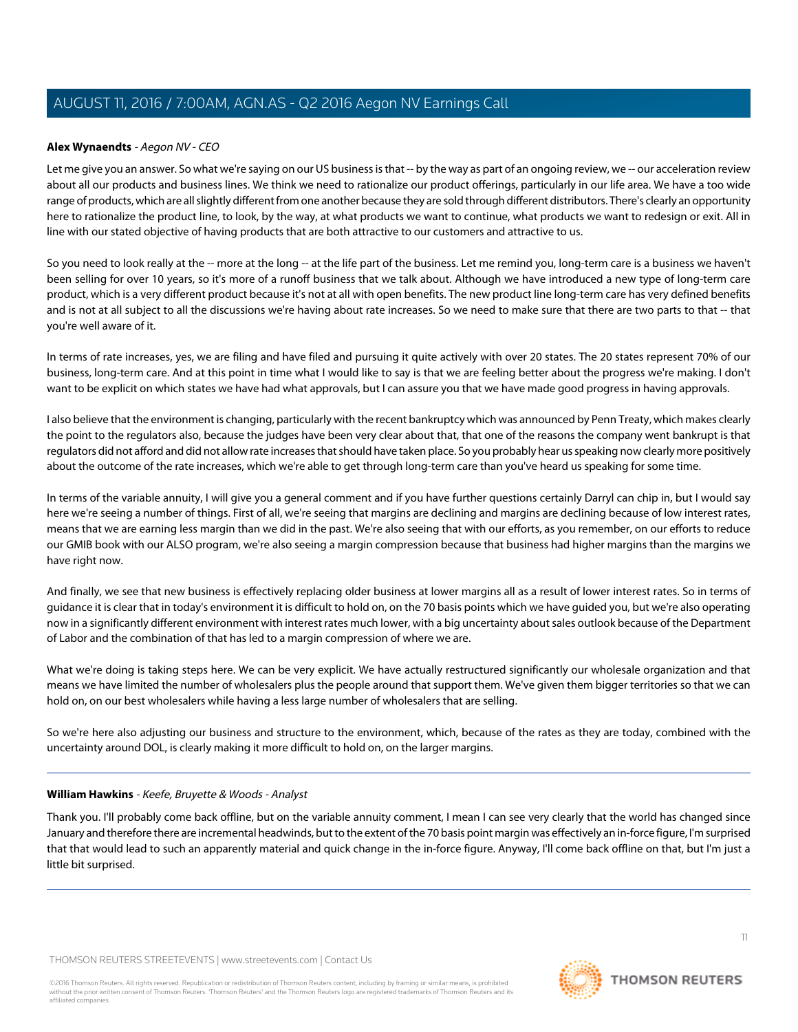# **Alex Wynaendts** - Aegon NV - CEO

Let me give you an answer. So what we're saying on our US business is that -- by the way as part of an ongoing review, we -- our acceleration review about all our products and business lines. We think we need to rationalize our product offerings, particularly in our life area. We have a too wide range of products, which are all slightly different from one another because they are sold through different distributors. There's clearly an opportunity here to rationalize the product line, to look, by the way, at what products we want to continue, what products we want to redesign or exit. All in line with our stated objective of having products that are both attractive to our customers and attractive to us.

So you need to look really at the -- more at the long -- at the life part of the business. Let me remind you, long-term care is a business we haven't been selling for over 10 years, so it's more of a runoff business that we talk about. Although we have introduced a new type of long-term care product, which is a very different product because it's not at all with open benefits. The new product line long-term care has very defined benefits and is not at all subject to all the discussions we're having about rate increases. So we need to make sure that there are two parts to that -- that you're well aware of it.

In terms of rate increases, yes, we are filing and have filed and pursuing it quite actively with over 20 states. The 20 states represent 70% of our business, long-term care. And at this point in time what I would like to say is that we are feeling better about the progress we're making. I don't want to be explicit on which states we have had what approvals, but I can assure you that we have made good progress in having approvals.

I also believe that the environment is changing, particularly with the recent bankruptcy which was announced by Penn Treaty, which makes clearly the point to the regulators also, because the judges have been very clear about that, that one of the reasons the company went bankrupt is that regulators did not afford and did not allow rate increases that should have taken place. So you probably hear us speaking now clearly more positively about the outcome of the rate increases, which we're able to get through long-term care than you've heard us speaking for some time.

In terms of the variable annuity, I will give you a general comment and if you have further questions certainly Darryl can chip in, but I would say here we're seeing a number of things. First of all, we're seeing that margins are declining and margins are declining because of low interest rates, means that we are earning less margin than we did in the past. We're also seeing that with our efforts, as you remember, on our efforts to reduce our GMIB book with our ALSO program, we're also seeing a margin compression because that business had higher margins than the margins we have right now.

And finally, we see that new business is effectively replacing older business at lower margins all as a result of lower interest rates. So in terms of guidance it is clear that in today's environment it is difficult to hold on, on the 70 basis points which we have guided you, but we're also operating now in a significantly different environment with interest rates much lower, with a big uncertainty about sales outlook because of the Department of Labor and the combination of that has led to a margin compression of where we are.

What we're doing is taking steps here. We can be very explicit. We have actually restructured significantly our wholesale organization and that means we have limited the number of wholesalers plus the people around that support them. We've given them bigger territories so that we can hold on, on our best wholesalers while having a less large number of wholesalers that are selling.

So we're here also adjusting our business and structure to the environment, which, because of the rates as they are today, combined with the uncertainty around DOL, is clearly making it more difficult to hold on, on the larger margins.

#### **William Hawkins** - Keefe, Bruyette & Woods - Analyst

Thank you. I'll probably come back offline, but on the variable annuity comment, I mean I can see very clearly that the world has changed since January and therefore there are incremental headwinds, but to the extent of the 70 basis point margin was effectively an in-force figure, I'm surprised that that would lead to such an apparently material and quick change in the in-force figure. Anyway, I'll come back offline on that, but I'm just a little bit surprised.

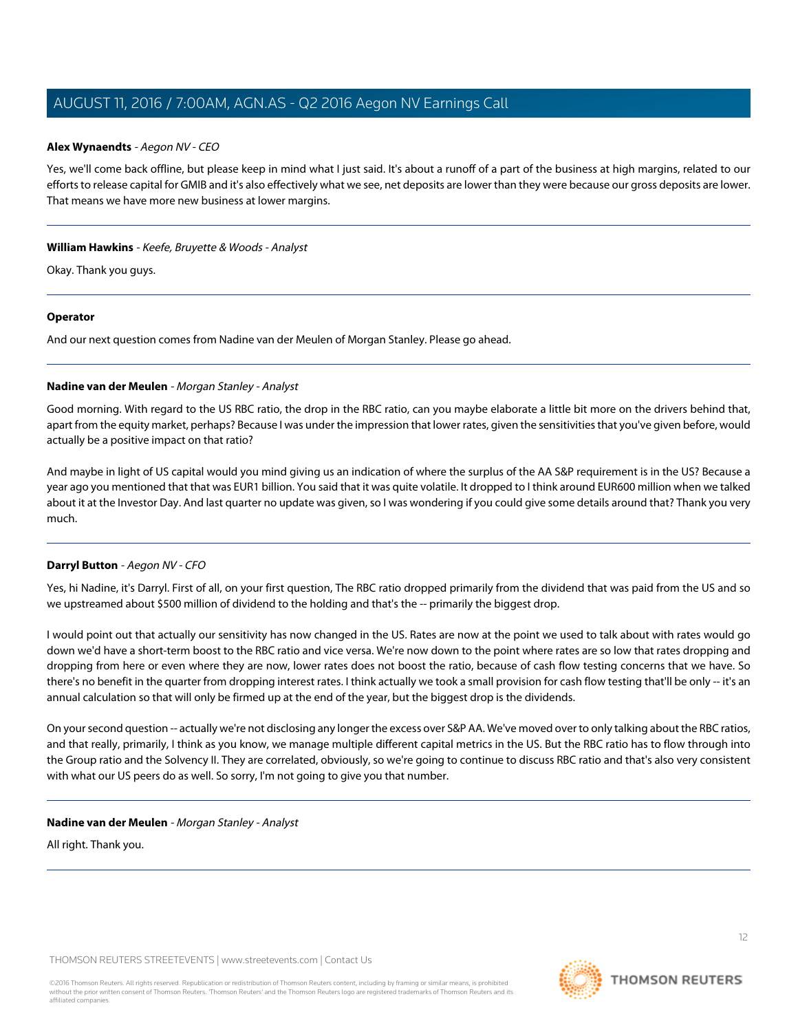#### **Alex Wynaendts** - Aegon NV - CEO

Yes, we'll come back offline, but please keep in mind what I just said. It's about a runoff of a part of the business at high margins, related to our efforts to release capital for GMIB and it's also effectively what we see, net deposits are lower than they were because our gross deposits are lower. That means we have more new business at lower margins.

## **William Hawkins** - Keefe, Bruyette & Woods - Analyst

Okay. Thank you guys.

## **Operator**

<span id="page-11-0"></span>And our next question comes from Nadine van der Meulen of Morgan Stanley. Please go ahead.

## **Nadine van der Meulen** - Morgan Stanley - Analyst

Good morning. With regard to the US RBC ratio, the drop in the RBC ratio, can you maybe elaborate a little bit more on the drivers behind that, apart from the equity market, perhaps? Because I was under the impression that lower rates, given the sensitivities that you've given before, would actually be a positive impact on that ratio?

And maybe in light of US capital would you mind giving us an indication of where the surplus of the AA S&P requirement is in the US? Because a year ago you mentioned that that was EUR1 billion. You said that it was quite volatile. It dropped to I think around EUR600 million when we talked about it at the Investor Day. And last quarter no update was given, so I was wondering if you could give some details around that? Thank you very much.

# **Darryl Button** - Aegon NV - CFO

Yes, hi Nadine, it's Darryl. First of all, on your first question, The RBC ratio dropped primarily from the dividend that was paid from the US and so we upstreamed about \$500 million of dividend to the holding and that's the -- primarily the biggest drop.

I would point out that actually our sensitivity has now changed in the US. Rates are now at the point we used to talk about with rates would go down we'd have a short-term boost to the RBC ratio and vice versa. We're now down to the point where rates are so low that rates dropping and dropping from here or even where they are now, lower rates does not boost the ratio, because of cash flow testing concerns that we have. So there's no benefit in the quarter from dropping interest rates. I think actually we took a small provision for cash flow testing that'll be only -- it's an annual calculation so that will only be firmed up at the end of the year, but the biggest drop is the dividends.

On your second question -- actually we're not disclosing any longer the excess over S&P AA. We've moved over to only talking about the RBC ratios, and that really, primarily, I think as you know, we manage multiple different capital metrics in the US. But the RBC ratio has to flow through into the Group ratio and the Solvency II. They are correlated, obviously, so we're going to continue to discuss RBC ratio and that's also very consistent with what our US peers do as well. So sorry, I'm not going to give you that number.

#### **Nadine van der Meulen** - Morgan Stanley - Analyst

All right. Thank you.

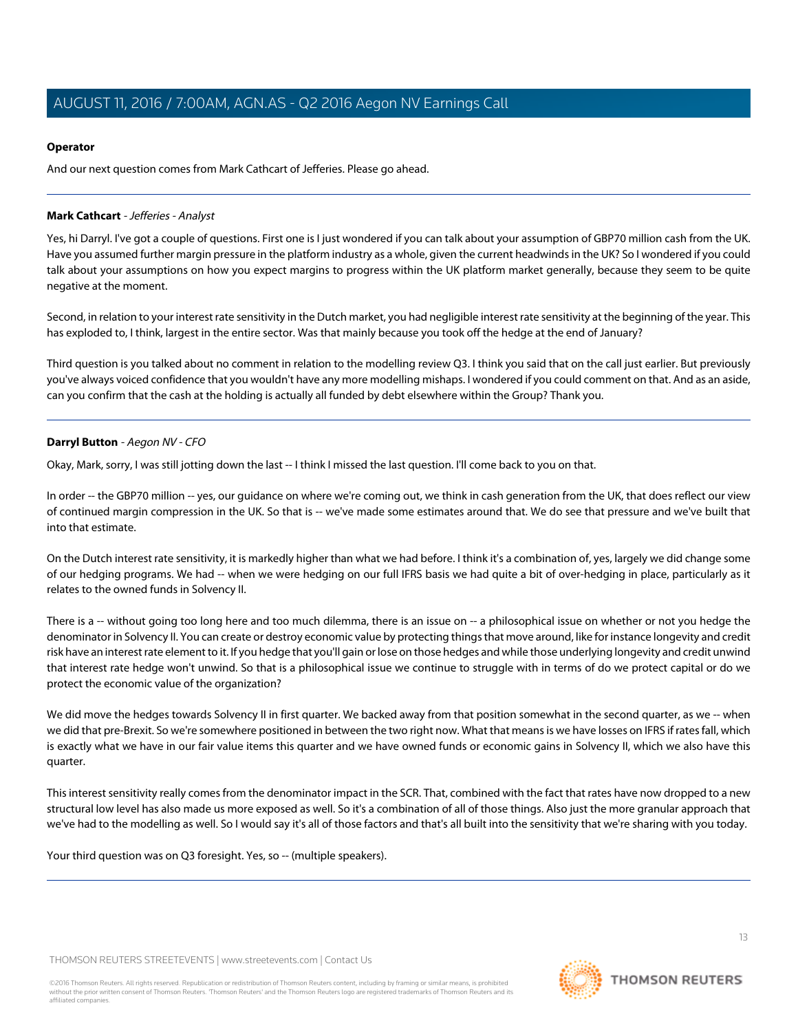# **Operator**

And our next question comes from Mark Cathcart of Jefferies. Please go ahead.

# <span id="page-12-0"></span>**Mark Cathcart** - Jefferies - Analyst

Yes, hi Darryl. I've got a couple of questions. First one is I just wondered if you can talk about your assumption of GBP70 million cash from the UK. Have you assumed further margin pressure in the platform industry as a whole, given the current headwinds in the UK? So I wondered if you could talk about your assumptions on how you expect margins to progress within the UK platform market generally, because they seem to be quite negative at the moment.

Second, in relation to your interest rate sensitivity in the Dutch market, you had negligible interest rate sensitivity at the beginning of the year. This has exploded to, I think, largest in the entire sector. Was that mainly because you took off the hedge at the end of January?

Third question is you talked about no comment in relation to the modelling review Q3. I think you said that on the call just earlier. But previously you've always voiced confidence that you wouldn't have any more modelling mishaps. I wondered if you could comment on that. And as an aside, can you confirm that the cash at the holding is actually all funded by debt elsewhere within the Group? Thank you.

# **Darryl Button** - Aegon NV - CFO

Okay, Mark, sorry, I was still jotting down the last -- I think I missed the last question. I'll come back to you on that.

In order -- the GBP70 million -- yes, our guidance on where we're coming out, we think in cash generation from the UK, that does reflect our view of continued margin compression in the UK. So that is -- we've made some estimates around that. We do see that pressure and we've built that into that estimate.

On the Dutch interest rate sensitivity, it is markedly higher than what we had before. I think it's a combination of, yes, largely we did change some of our hedging programs. We had -- when we were hedging on our full IFRS basis we had quite a bit of over-hedging in place, particularly as it relates to the owned funds in Solvency II.

There is a -- without going too long here and too much dilemma, there is an issue on -- a philosophical issue on whether or not you hedge the denominator in Solvency II. You can create or destroy economic value by protecting things that move around, like for instance longevity and credit risk have an interest rate element to it. If you hedge that you'll gain or lose on those hedges and while those underlying longevity and credit unwind that interest rate hedge won't unwind. So that is a philosophical issue we continue to struggle with in terms of do we protect capital or do we protect the economic value of the organization?

We did move the hedges towards Solvency II in first quarter. We backed away from that position somewhat in the second quarter, as we -- when we did that pre-Brexit. So we're somewhere positioned in between the two right now. What that means is we have losses on IFRS if rates fall, which is exactly what we have in our fair value items this quarter and we have owned funds or economic gains in Solvency II, which we also have this quarter.

This interest sensitivity really comes from the denominator impact in the SCR. That, combined with the fact that rates have now dropped to a new structural low level has also made us more exposed as well. So it's a combination of all of those things. Also just the more granular approach that we've had to the modelling as well. So I would say it's all of those factors and that's all built into the sensitivity that we're sharing with you today.

Your third question was on Q3 foresight. Yes, so -- (multiple speakers).

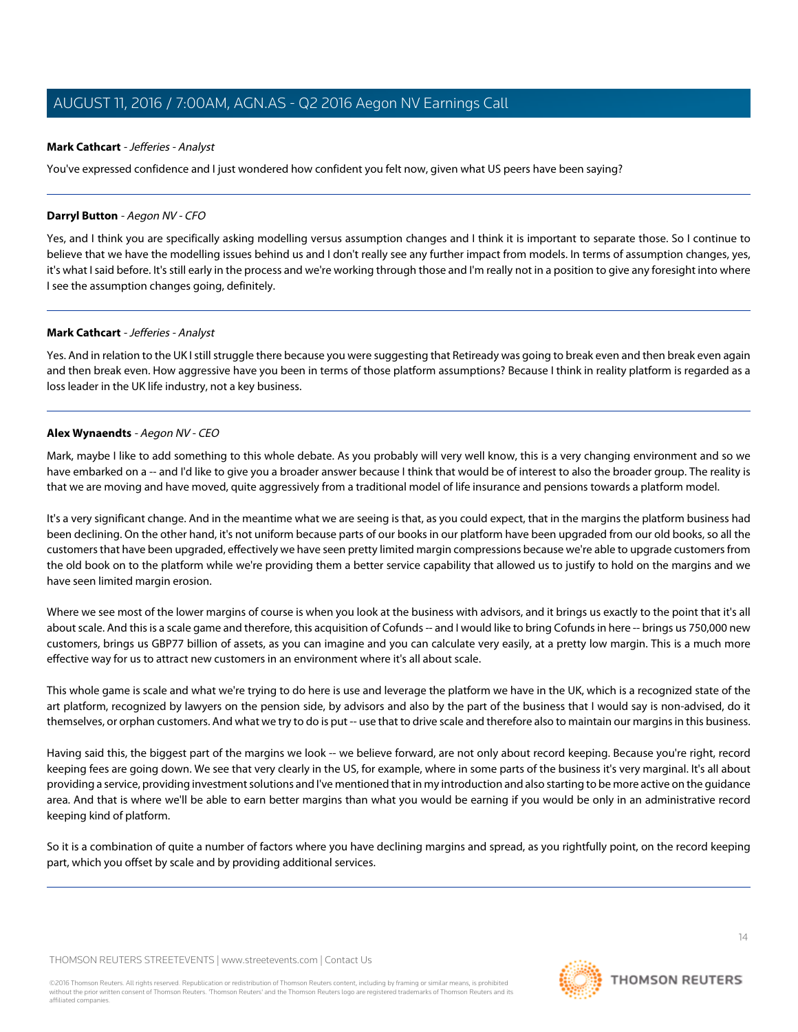# **Mark Cathcart** - Jefferies - Analyst

You've expressed confidence and I just wondered how confident you felt now, given what US peers have been saying?

# **Darryl Button** - Aegon NV - CFO

Yes, and I think you are specifically asking modelling versus assumption changes and I think it is important to separate those. So I continue to believe that we have the modelling issues behind us and I don't really see any further impact from models. In terms of assumption changes, yes, it's what I said before. It's still early in the process and we're working through those and I'm really not in a position to give any foresight into where I see the assumption changes going, definitely.

## **Mark Cathcart** - Jefferies - Analyst

Yes. And in relation to the UK I still struggle there because you were suggesting that Retiready was going to break even and then break even again and then break even. How aggressive have you been in terms of those platform assumptions? Because I think in reality platform is regarded as a loss leader in the UK life industry, not a key business.

## **Alex Wynaendts** - Aegon NV - CEO

Mark, maybe I like to add something to this whole debate. As you probably will very well know, this is a very changing environment and so we have embarked on a -- and I'd like to give you a broader answer because I think that would be of interest to also the broader group. The reality is that we are moving and have moved, quite aggressively from a traditional model of life insurance and pensions towards a platform model.

It's a very significant change. And in the meantime what we are seeing is that, as you could expect, that in the margins the platform business had been declining. On the other hand, it's not uniform because parts of our books in our platform have been upgraded from our old books, so all the customers that have been upgraded, effectively we have seen pretty limited margin compressions because we're able to upgrade customers from the old book on to the platform while we're providing them a better service capability that allowed us to justify to hold on the margins and we have seen limited margin erosion.

Where we see most of the lower margins of course is when you look at the business with advisors, and it brings us exactly to the point that it's all about scale. And this is a scale game and therefore, this acquisition of Cofunds -- and I would like to bring Cofunds in here -- brings us 750,000 new customers, brings us GBP77 billion of assets, as you can imagine and you can calculate very easily, at a pretty low margin. This is a much more effective way for us to attract new customers in an environment where it's all about scale.

This whole game is scale and what we're trying to do here is use and leverage the platform we have in the UK, which is a recognized state of the art platform, recognized by lawyers on the pension side, by advisors and also by the part of the business that I would say is non-advised, do it themselves, or orphan customers. And what we try to do is put -- use that to drive scale and therefore also to maintain our margins in this business.

Having said this, the biggest part of the margins we look -- we believe forward, are not only about record keeping. Because you're right, record keeping fees are going down. We see that very clearly in the US, for example, where in some parts of the business it's very marginal. It's all about providing a service, providing investment solutions and I've mentioned that in my introduction and also starting to be more active on the guidance area. And that is where we'll be able to earn better margins than what you would be earning if you would be only in an administrative record keeping kind of platform.

So it is a combination of quite a number of factors where you have declining margins and spread, as you rightfully point, on the record keeping part, which you offset by scale and by providing additional services.

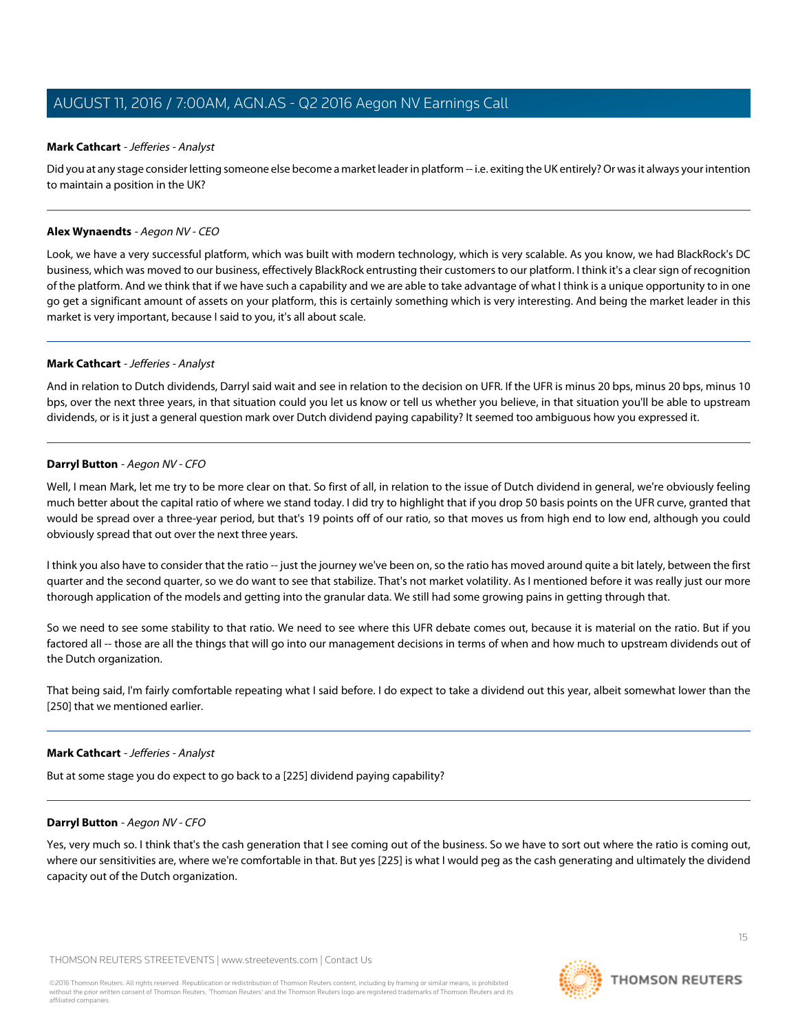# **Mark Cathcart** - Jefferies - Analyst

Did you at any stage consider letting someone else become a market leader in platform -- i.e. exiting the UK entirely? Or was it always your intention to maintain a position in the UK?

#### **Alex Wynaendts** - Aegon NV - CEO

Look, we have a very successful platform, which was built with modern technology, which is very scalable. As you know, we had BlackRock's DC business, which was moved to our business, effectively BlackRock entrusting their customers to our platform. I think it's a clear sign of recognition of the platform. And we think that if we have such a capability and we are able to take advantage of what I think is a unique opportunity to in one go get a significant amount of assets on your platform, this is certainly something which is very interesting. And being the market leader in this market is very important, because I said to you, it's all about scale.

## **Mark Cathcart** - Jefferies - Analyst

And in relation to Dutch dividends, Darryl said wait and see in relation to the decision on UFR. If the UFR is minus 20 bps, minus 20 bps, minus 10 bps, over the next three years, in that situation could you let us know or tell us whether you believe, in that situation you'll be able to upstream dividends, or is it just a general question mark over Dutch dividend paying capability? It seemed too ambiguous how you expressed it.

## **Darryl Button** - Aegon NV - CFO

Well, I mean Mark, let me try to be more clear on that. So first of all, in relation to the issue of Dutch dividend in general, we're obviously feeling much better about the capital ratio of where we stand today. I did try to highlight that if you drop 50 basis points on the UFR curve, granted that would be spread over a three-year period, but that's 19 points off of our ratio, so that moves us from high end to low end, although you could obviously spread that out over the next three years.

I think you also have to consider that the ratio -- just the journey we've been on, so the ratio has moved around quite a bit lately, between the first quarter and the second quarter, so we do want to see that stabilize. That's not market volatility. As I mentioned before it was really just our more thorough application of the models and getting into the granular data. We still had some growing pains in getting through that.

So we need to see some stability to that ratio. We need to see where this UFR debate comes out, because it is material on the ratio. But if you factored all -- those are all the things that will go into our management decisions in terms of when and how much to upstream dividends out of the Dutch organization.

That being said, I'm fairly comfortable repeating what I said before. I do expect to take a dividend out this year, albeit somewhat lower than the [250] that we mentioned earlier.

#### **Mark Cathcart** - Jefferies - Analyst

But at some stage you do expect to go back to a [225] dividend paying capability?

#### **Darryl Button** - Aegon NV - CFO

Yes, very much so. I think that's the cash generation that I see coming out of the business. So we have to sort out where the ratio is coming out, where our sensitivities are, where we're comfortable in that. But yes [225] is what I would peg as the cash generating and ultimately the dividend capacity out of the Dutch organization.

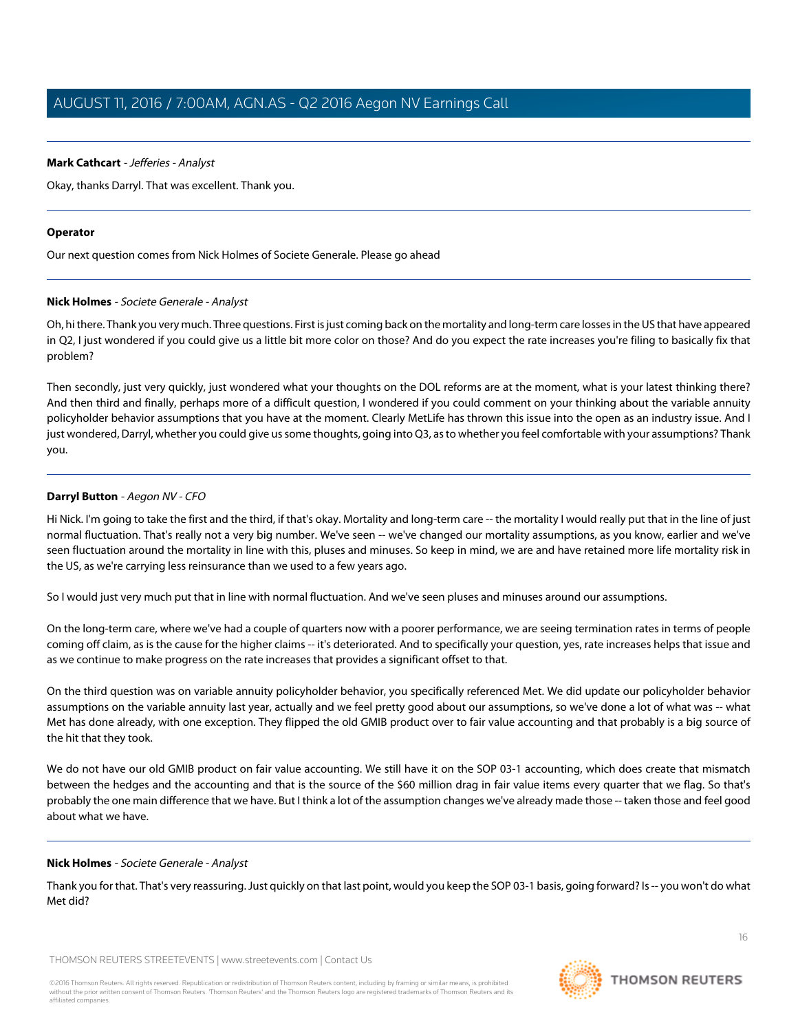## **Mark Cathcart** - Jefferies - Analyst

Okay, thanks Darryl. That was excellent. Thank you.

#### **Operator**

<span id="page-15-0"></span>Our next question comes from Nick Holmes of Societe Generale. Please go ahead

## **Nick Holmes** - Societe Generale - Analyst

Oh, hi there. Thank you very much. Three questions. First is just coming back on the mortality and long-term care losses in the US that have appeared in Q2, I just wondered if you could give us a little bit more color on those? And do you expect the rate increases you're filing to basically fix that problem?

Then secondly, just very quickly, just wondered what your thoughts on the DOL reforms are at the moment, what is your latest thinking there? And then third and finally, perhaps more of a difficult question, I wondered if you could comment on your thinking about the variable annuity policyholder behavior assumptions that you have at the moment. Clearly MetLife has thrown this issue into the open as an industry issue. And I just wondered, Darryl, whether you could give us some thoughts, going into Q3, as to whether you feel comfortable with your assumptions? Thank you.

## **Darryl Button** - Aegon NV - CFO

Hi Nick. I'm going to take the first and the third, if that's okay. Mortality and long-term care -- the mortality I would really put that in the line of just normal fluctuation. That's really not a very big number. We've seen -- we've changed our mortality assumptions, as you know, earlier and we've seen fluctuation around the mortality in line with this, pluses and minuses. So keep in mind, we are and have retained more life mortality risk in the US, as we're carrying less reinsurance than we used to a few years ago.

So I would just very much put that in line with normal fluctuation. And we've seen pluses and minuses around our assumptions.

On the long-term care, where we've had a couple of quarters now with a poorer performance, we are seeing termination rates in terms of people coming off claim, as is the cause for the higher claims -- it's deteriorated. And to specifically your question, yes, rate increases helps that issue and as we continue to make progress on the rate increases that provides a significant offset to that.

On the third question was on variable annuity policyholder behavior, you specifically referenced Met. We did update our policyholder behavior assumptions on the variable annuity last year, actually and we feel pretty good about our assumptions, so we've done a lot of what was -- what Met has done already, with one exception. They flipped the old GMIB product over to fair value accounting and that probably is a big source of the hit that they took.

We do not have our old GMIB product on fair value accounting. We still have it on the SOP 03-1 accounting, which does create that mismatch between the hedges and the accounting and that is the source of the \$60 million drag in fair value items every quarter that we flag. So that's probably the one main difference that we have. But I think a lot of the assumption changes we've already made those -- taken those and feel good about what we have.

#### **Nick Holmes** - Societe Generale - Analyst

Thank you for that. That's very reassuring. Just quickly on that last point, would you keep the SOP 03-1 basis, going forward? Is -- you won't do what Met did?

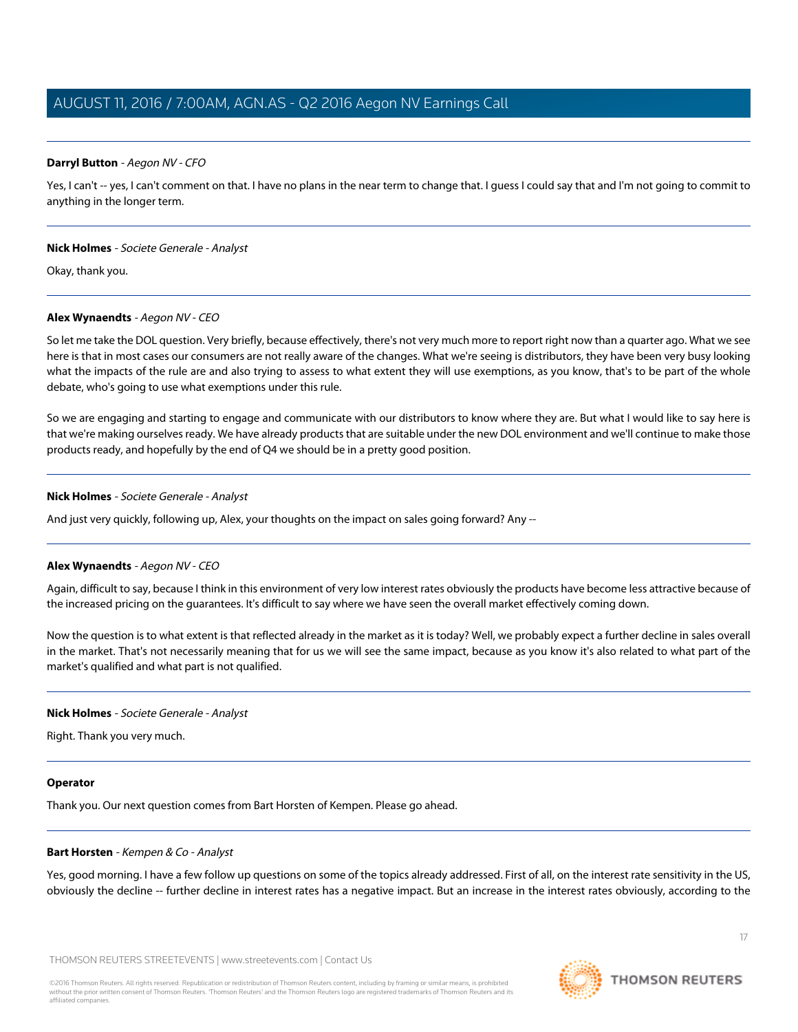## **Darryl Button** - Aegon NV - CFO

Yes, I can't -- yes, I can't comment on that. I have no plans in the near term to change that. I guess I could say that and I'm not going to commit to anything in the longer term.

#### **Nick Holmes** - Societe Generale - Analyst

Okay, thank you.

## **Alex Wynaendts** - Aegon NV - CEO

So let me take the DOL question. Very briefly, because effectively, there's not very much more to report right now than a quarter ago. What we see here is that in most cases our consumers are not really aware of the changes. What we're seeing is distributors, they have been very busy looking what the impacts of the rule are and also trying to assess to what extent they will use exemptions, as you know, that's to be part of the whole debate, who's going to use what exemptions under this rule.

So we are engaging and starting to engage and communicate with our distributors to know where they are. But what I would like to say here is that we're making ourselves ready. We have already products that are suitable under the new DOL environment and we'll continue to make those products ready, and hopefully by the end of Q4 we should be in a pretty good position.

#### **Nick Holmes** - Societe Generale - Analyst

And just very quickly, following up, Alex, your thoughts on the impact on sales going forward? Any --

#### **Alex Wynaendts** - Aegon NV - CEO

Again, difficult to say, because I think in this environment of very low interest rates obviously the products have become less attractive because of the increased pricing on the guarantees. It's difficult to say where we have seen the overall market effectively coming down.

Now the question is to what extent is that reflected already in the market as it is today? Well, we probably expect a further decline in sales overall in the market. That's not necessarily meaning that for us we will see the same impact, because as you know it's also related to what part of the market's qualified and what part is not qualified.

#### **Nick Holmes** - Societe Generale - Analyst

Right. Thank you very much.

#### <span id="page-16-0"></span>**Operator**

Thank you. Our next question comes from Bart Horsten of Kempen. Please go ahead.

#### **Bart Horsten** - Kempen & Co - Analyst

Yes, good morning. I have a few follow up questions on some of the topics already addressed. First of all, on the interest rate sensitivity in the US, obviously the decline -- further decline in interest rates has a negative impact. But an increase in the interest rates obviously, according to the

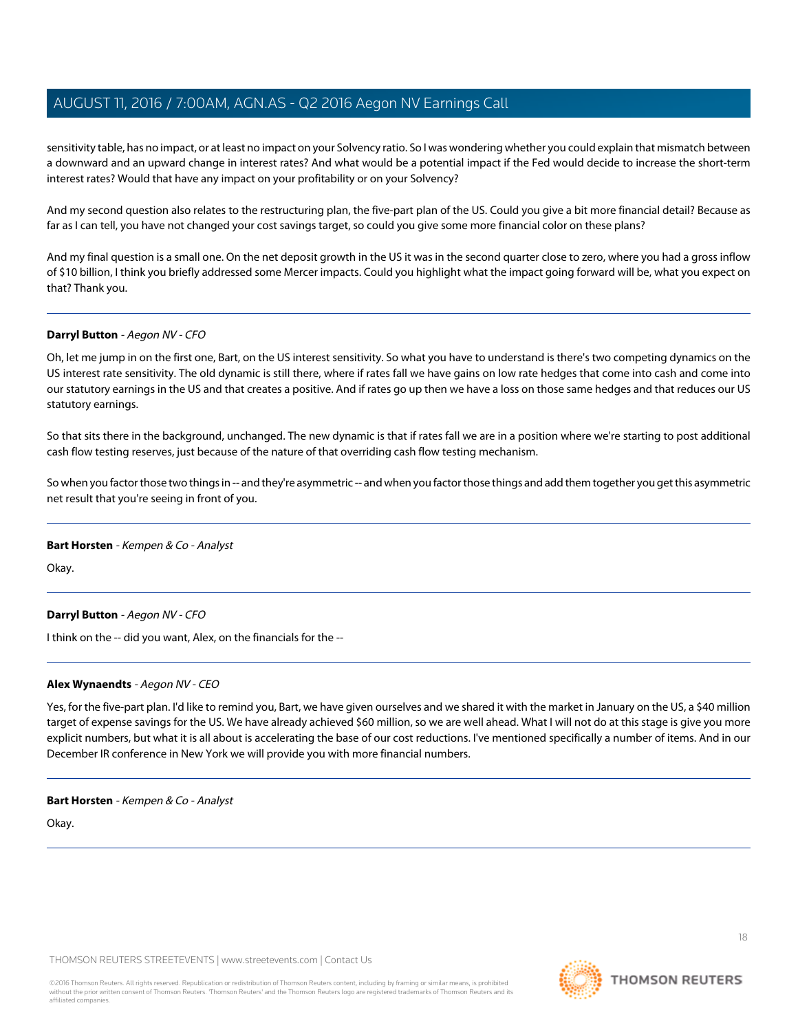sensitivity table, has no impact, or at least no impact on your Solvency ratio. So I was wondering whether you could explain that mismatch between a downward and an upward change in interest rates? And what would be a potential impact if the Fed would decide to increase the short-term interest rates? Would that have any impact on your profitability or on your Solvency?

And my second question also relates to the restructuring plan, the five-part plan of the US. Could you give a bit more financial detail? Because as far as I can tell, you have not changed your cost savings target, so could you give some more financial color on these plans?

And my final question is a small one. On the net deposit growth in the US it was in the second quarter close to zero, where you had a gross inflow of \$10 billion, I think you briefly addressed some Mercer impacts. Could you highlight what the impact going forward will be, what you expect on that? Thank you.

## **Darryl Button** - Aegon NV - CFO

Oh, let me jump in on the first one, Bart, on the US interest sensitivity. So what you have to understand is there's two competing dynamics on the US interest rate sensitivity. The old dynamic is still there, where if rates fall we have gains on low rate hedges that come into cash and come into our statutory earnings in the US and that creates a positive. And if rates go up then we have a loss on those same hedges and that reduces our US statutory earnings.

So that sits there in the background, unchanged. The new dynamic is that if rates fall we are in a position where we're starting to post additional cash flow testing reserves, just because of the nature of that overriding cash flow testing mechanism.

So when you factor those two things in -- and they're asymmetric -- and when you factor those things and add them together you get this asymmetric net result that you're seeing in front of you.

#### **Bart Horsten** - Kempen & Co - Analyst

Okay.

# **Darryl Button** - Aegon NV - CFO

I think on the -- did you want, Alex, on the financials for the --

#### **Alex Wynaendts** - Aegon NV - CEO

Yes, for the five-part plan. I'd like to remind you, Bart, we have given ourselves and we shared it with the market in January on the US, a \$40 million target of expense savings for the US. We have already achieved \$60 million, so we are well ahead. What I will not do at this stage is give you more explicit numbers, but what it is all about is accelerating the base of our cost reductions. I've mentioned specifically a number of items. And in our December IR conference in New York we will provide you with more financial numbers.

#### **Bart Horsten** - Kempen & Co - Analyst

Okay.

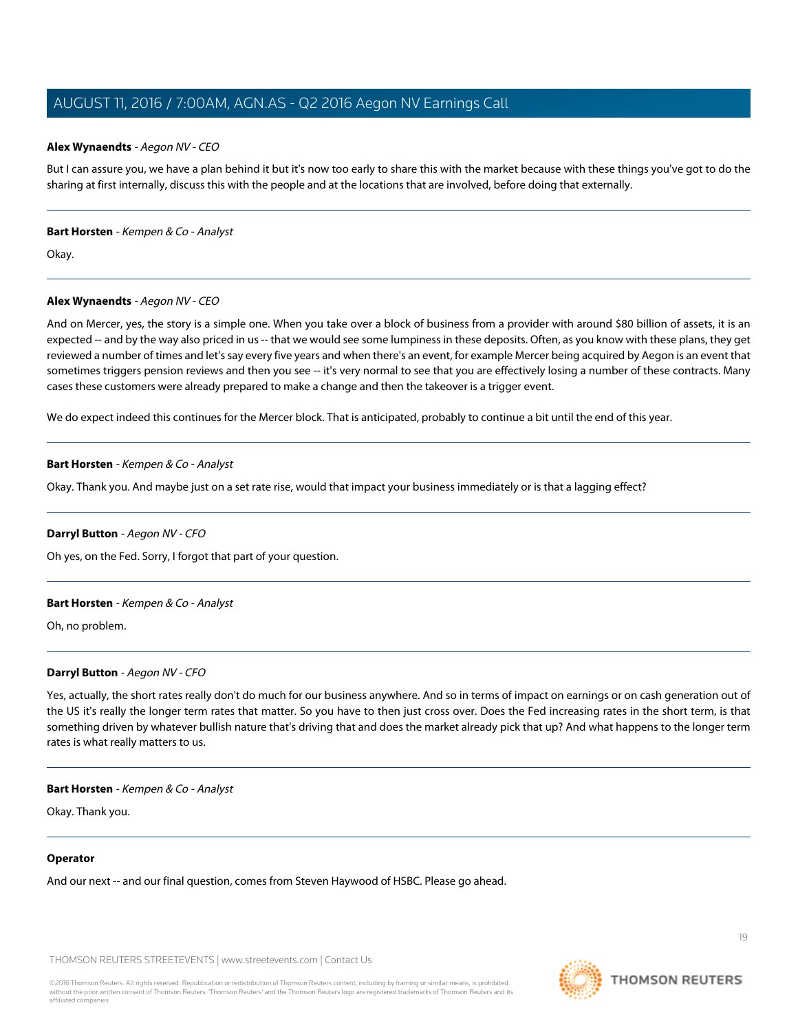#### **Alex Wynaendts** - Aegon NV - CEO

But I can assure you, we have a plan behind it but it's now too early to share this with the market because with these things you've got to do the sharing at first internally, discuss this with the people and at the locations that are involved, before doing that externally.

#### **Bart Horsten** - Kempen & Co - Analyst

Okay.

# **Alex Wynaendts** - Aegon NV - CEO

And on Mercer, yes, the story is a simple one. When you take over a block of business from a provider with around \$80 billion of assets, it is an expected -- and by the way also priced in us -- that we would see some lumpiness in these deposits. Often, as you know with these plans, they get reviewed a number of times and let's say every five years and when there's an event, for example Mercer being acquired by Aegon is an event that sometimes triggers pension reviews and then you see -- it's very normal to see that you are effectively losing a number of these contracts. Many cases these customers were already prepared to make a change and then the takeover is a trigger event.

We do expect indeed this continues for the Mercer block. That is anticipated, probably to continue a bit until the end of this year.

## **Bart Horsten** - Kempen & Co - Analyst

Okay. Thank you. And maybe just on a set rate rise, would that impact your business immediately or is that a lagging effect?

# **Darryl Button** - Aegon NV - CFO

Oh yes, on the Fed. Sorry, I forgot that part of your question.

#### **Bart Horsten** - Kempen & Co - Analyst

Oh, no problem.

# **Darryl Button** - Aegon NV - CFO

Yes, actually, the short rates really don't do much for our business anywhere. And so in terms of impact on earnings or on cash generation out of the US it's really the longer term rates that matter. So you have to then just cross over. Does the Fed increasing rates in the short term, is that something driven by whatever bullish nature that's driving that and does the market already pick that up? And what happens to the longer term rates is what really matters to us.

#### **Bart Horsten** - Kempen & Co - Analyst

Okay. Thank you.

#### **Operator**

And our next -- and our final question, comes from Steven Haywood of HSBC. Please go ahead.



19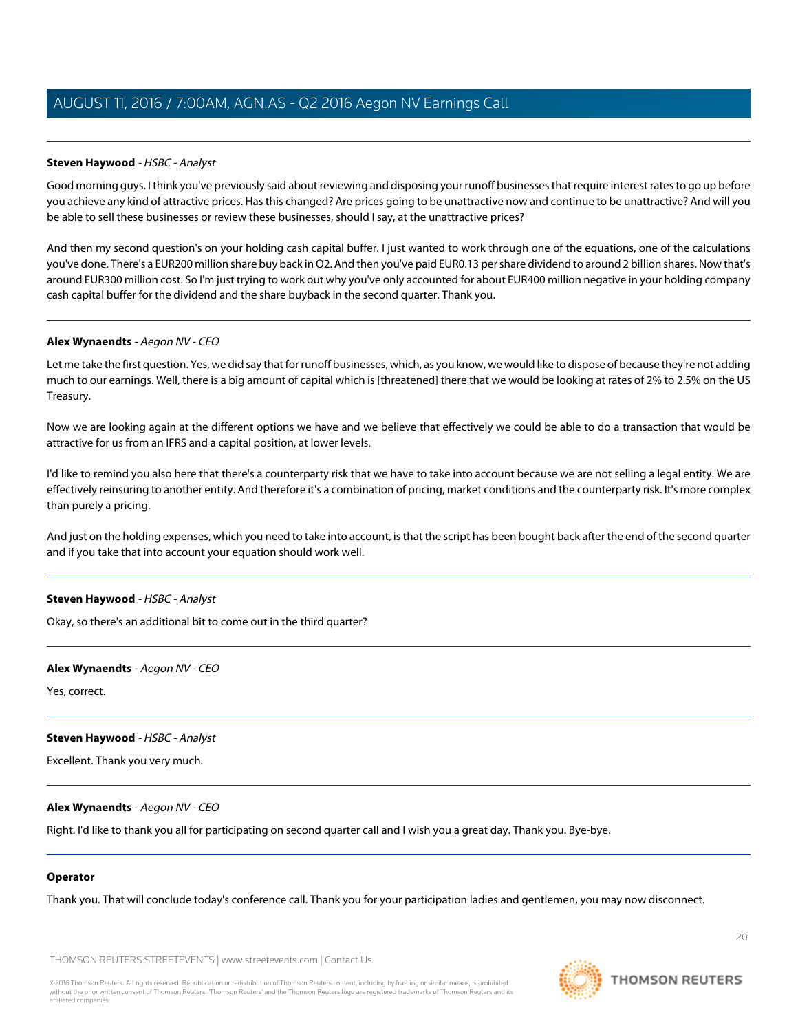# <span id="page-19-0"></span>**Steven Haywood** - HSBC - Analyst

Good morning guys. I think you've previously said about reviewing and disposing your runoff businesses that require interest rates to go up before you achieve any kind of attractive prices. Has this changed? Are prices going to be unattractive now and continue to be unattractive? And will you be able to sell these businesses or review these businesses, should I say, at the unattractive prices?

And then my second question's on your holding cash capital buffer. I just wanted to work through one of the equations, one of the calculations you've done. There's a EUR200 million share buy back in Q2. And then you've paid EUR0.13 per share dividend to around 2 billion shares. Now that's around EUR300 million cost. So I'm just trying to work out why you've only accounted for about EUR400 million negative in your holding company cash capital buffer for the dividend and the share buyback in the second quarter. Thank you.

## **Alex Wynaendts** - Aegon NV - CEO

Let me take the first question. Yes, we did say that for runoff businesses, which, as you know, we would like to dispose of because they're not adding much to our earnings. Well, there is a big amount of capital which is [threatened] there that we would be looking at rates of 2% to 2.5% on the US Treasury.

Now we are looking again at the different options we have and we believe that effectively we could be able to do a transaction that would be attractive for us from an IFRS and a capital position, at lower levels.

I'd like to remind you also here that there's a counterparty risk that we have to take into account because we are not selling a legal entity. We are effectively reinsuring to another entity. And therefore it's a combination of pricing, market conditions and the counterparty risk. It's more complex than purely a pricing.

And just on the holding expenses, which you need to take into account, is that the script has been bought back after the end of the second quarter and if you take that into account your equation should work well.

# **Steven Haywood** - HSBC - Analyst

Okay, so there's an additional bit to come out in the third quarter?

#### **Alex Wynaendts** - Aegon NV - CEO

Yes, correct.

#### **Steven Haywood** - HSBC - Analyst

Excellent. Thank you very much.

# **Alex Wynaendts** - Aegon NV - CEO

Right. I'd like to thank you all for participating on second quarter call and I wish you a great day. Thank you. Bye-bye.

#### **Operator**

Thank you. That will conclude today's conference call. Thank you for your participation ladies and gentlemen, you may now disconnect.

THOMSON REUTERS STREETEVENTS | [www.streetevents.com](http://www.streetevents.com) | [Contact Us](http://www010.streetevents.com/contact.asp)